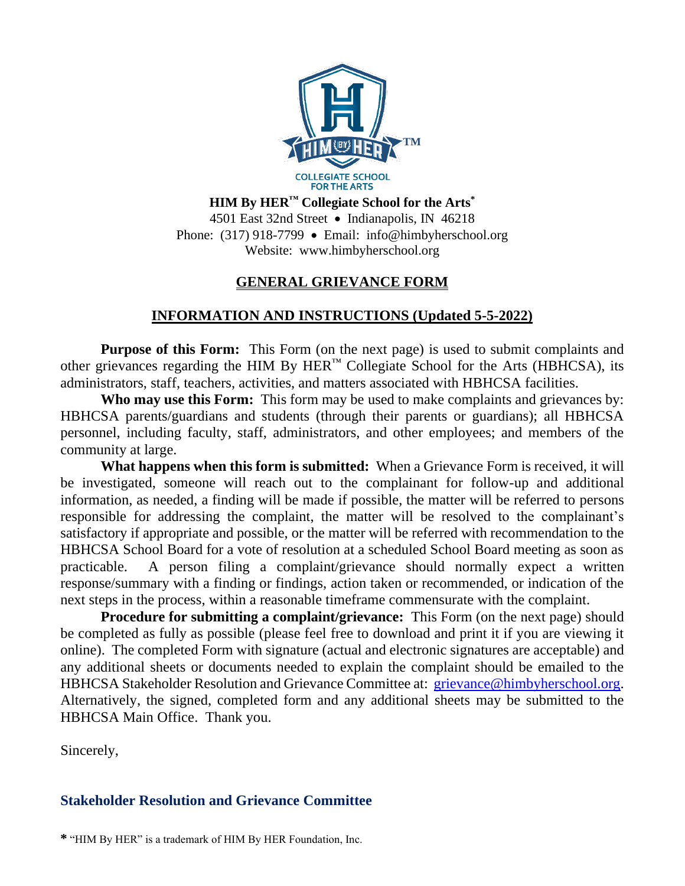

**HIM By HER™ Collegiate School for the Arts\*** 4501 East 32nd Street • Indianapolis, IN 46218 Phone: (317) 918-7799 • Email: info@himbyherschool.org Website: www.himbyherschool.org

## **GENERAL GRIEVANCE FORM**

## **INFORMATION AND INSTRUCTIONS (Updated 5-5-2022)**

**Purpose of this Form:** This Form (on the next page) is used to submit complaints and other grievances regarding the HIM By  $HER^M$  Collegiate School for the Arts (HBHCSA), its administrators, staff, teachers, activities, and matters associated with HBHCSA facilities.

**Who may use this Form:** This form may be used to make complaints and grievances by: HBHCSA parents/guardians and students (through their parents or guardians); all HBHCSA personnel, including faculty, staff, administrators, and other employees; and members of the community at large.

**What happens when this form is submitted:** When a Grievance Form is received, it will be investigated, someone will reach out to the complainant for follow-up and additional information, as needed, a finding will be made if possible, the matter will be referred to persons responsible for addressing the complaint, the matter will be resolved to the complainant's satisfactory if appropriate and possible, or the matter will be referred with recommendation to the HBHCSA School Board for a vote of resolution at a scheduled School Board meeting as soon as practicable. A person filing a complaint/grievance should normally expect a written response/summary with a finding or findings, action taken or recommended, or indication of the next steps in the process, within a reasonable timeframe commensurate with the complaint.

**Procedure for submitting a complaint/grievance:** This Form (on the next page) should be completed as fully as possible (please feel free to download and print it if you are viewing it online). The completed Form with signature (actual and electronic signatures are acceptable) and any additional sheets or documents needed to explain the complaint should be emailed to the HBHCSA Stakeholder Resolution and Grievance Committee at: [grievance@himbyherschool.org.](mailto:grievance@himbyherschool.org) Alternatively, the signed, completed form and any additional sheets may be submitted to the HBHCSA Main Office. Thank you.

Sincerely,

## **Stakeholder Resolution and Grievance Committee**

**\*** "HIM By HER" is a trademark of HIM By HER Foundation, Inc.